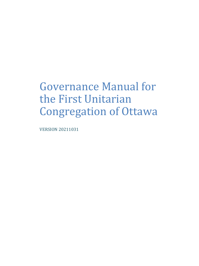# Governance Manual for the First Unitarian Congregation of Ottawa

VERSION 20211031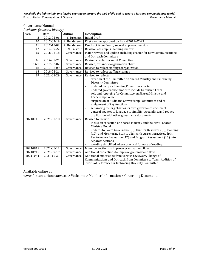Governance Manual *Revisions (selected history)* 

| Ver.           | <u>Revisions</u> screeged miscol <i>v</i><br>Date | <b>Author</b> | <b>Description</b>                                                                 |  |  |
|----------------|---------------------------------------------------|---------------|------------------------------------------------------------------------------------|--|--|
| $\overline{2}$ | 2012-02-06                                        | S. Drennan    | <b>Initial Draft</b>                                                               |  |  |
| 10             | 2012-07-19                                        | A. Henderson  | First version approved by Board 2012-07-25                                         |  |  |
| 11             | 2012-12-02                                        | A. Henderson  | Feedback from Board; second approved version                                       |  |  |
| 12             | 2014-09-22                                        | M. Prevost    | Revision of Campus Planning charter                                                |  |  |
| 15             | 2016-05-18                                        | Governance    | Major rewrite and update, including charter for new Communications                 |  |  |
|                |                                                   |               | and Outreach Committee                                                             |  |  |
| 16             | 2016-09-21                                        | Governance    | Revised charter for Audit Committee                                                |  |  |
| 16.1           | 2017-02-02                                        | Governance    | Revised, expanded organization chart                                               |  |  |
| 18             | 2017-08-09                                        | Governance    | Revised to reflect staffing reorganization                                         |  |  |
| 18             | 2018-02-21                                        | Governance    | Revised to reflect staffing changes                                                |  |  |
| 19             | 2021-01-29                                        | Governance    | Revised to reflect:                                                                |  |  |
|                |                                                   |               | creation of the Committee on Shared Ministry and Embracing                         |  |  |
|                |                                                   |               | <b>Diversity Committee</b>                                                         |  |  |
|                |                                                   |               | updated Campus Planning Committee charter<br>$\overline{a}$                        |  |  |
|                |                                                   |               | updated governance model to include Executive Team<br>$\overline{a}$               |  |  |
|                |                                                   |               | role and reporting for Committee on Shared Ministry and<br>$\overline{a}$          |  |  |
|                |                                                   |               | Leadership Council                                                                 |  |  |
|                |                                                   |               | suspension of Audit and Stewardship Committees and re-<br>$\overline{a}$           |  |  |
|                |                                                   |               | assignment of key functions                                                        |  |  |
|                |                                                   |               | separating the org chart as its own governance document<br>$\overline{a}$          |  |  |
|                |                                                   |               | general updates to language to simplify, streamline, and reduce                    |  |  |
|                |                                                   |               | duplication with other governance documents                                        |  |  |
| 20210718       | 2021-07-18                                        | Governance    | Revised to include:                                                                |  |  |
|                |                                                   |               | inclusion of section on Shared Ministry and the FirstU Shared<br>$\centerdot$      |  |  |
|                |                                                   |               | Ministry Model                                                                     |  |  |
|                |                                                   |               | updates to Board Governance (5), Care for Resources (8), Planning<br>$\frac{1}{2}$ |  |  |
|                |                                                   |               | (10), and Monitoring (11) to align with current practices. Split                   |  |  |
|                |                                                   |               | Performance Evaluation (12) and Program Assessment (13) into                       |  |  |
|                |                                                   |               | separate sections.                                                                 |  |  |
|                |                                                   |               | wording simplified where practical for ease of reading.                            |  |  |
| 20210812       | 2021-08-12                                        | Governance    | Minor corrections to improve grammar and flow.                                     |  |  |
| 20210919       | 2021-09-19                                        | Governance    | Additional corrections to improve grammar and flow                                 |  |  |
| 20211031       | 2021-10-31                                        | Governance    | Additional minor edits from various reviewers. Change of                           |  |  |
|                |                                                   |               | Communications and Outreach from Committee to Team. Addition of                    |  |  |
|                |                                                   |               | Terms of Reference for Embracing Diversity Committee                               |  |  |

Available online at:

www.firstunitarianottawa.ca > Welcome > Member Information > Governing Documents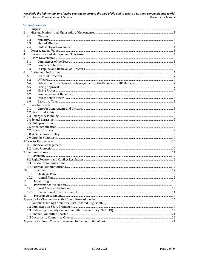|  |  | Table of Contents |
|--|--|-------------------|
|  |  |                   |
|  |  |                   |

| 1        |  |  |  |  |  |  |
|----------|--|--|--|--|--|--|
| 2        |  |  |  |  |  |  |
| 2.1      |  |  |  |  |  |  |
| 2.2      |  |  |  |  |  |  |
| 2.3      |  |  |  |  |  |  |
| 2.4      |  |  |  |  |  |  |
| 3        |  |  |  |  |  |  |
| 4        |  |  |  |  |  |  |
| 5        |  |  |  |  |  |  |
| 5.1      |  |  |  |  |  |  |
| 5.2      |  |  |  |  |  |  |
| 5.3      |  |  |  |  |  |  |
| 6        |  |  |  |  |  |  |
| 6.1      |  |  |  |  |  |  |
| 6.2      |  |  |  |  |  |  |
| 6.4      |  |  |  |  |  |  |
| 6.5      |  |  |  |  |  |  |
| 6.6      |  |  |  |  |  |  |
| 6.7      |  |  |  |  |  |  |
| 6.8      |  |  |  |  |  |  |
| 6.9      |  |  |  |  |  |  |
| 7        |  |  |  |  |  |  |
| 7.1      |  |  |  |  |  |  |
|          |  |  |  |  |  |  |
|          |  |  |  |  |  |  |
|          |  |  |  |  |  |  |
|          |  |  |  |  |  |  |
|          |  |  |  |  |  |  |
|          |  |  |  |  |  |  |
|          |  |  |  |  |  |  |
|          |  |  |  |  |  |  |
|          |  |  |  |  |  |  |
|          |  |  |  |  |  |  |
|          |  |  |  |  |  |  |
|          |  |  |  |  |  |  |
|          |  |  |  |  |  |  |
|          |  |  |  |  |  |  |
|          |  |  |  |  |  |  |
|          |  |  |  |  |  |  |
| 10       |  |  |  |  |  |  |
| 10.1     |  |  |  |  |  |  |
| 10.2     |  |  |  |  |  |  |
|          |  |  |  |  |  |  |
| 11<br>12 |  |  |  |  |  |  |
| 12.1     |  |  |  |  |  |  |
| 12.3     |  |  |  |  |  |  |
| 13       |  |  |  |  |  |  |
|          |  |  |  |  |  |  |
|          |  |  |  |  |  |  |
|          |  |  |  |  |  |  |
|          |  |  |  |  |  |  |
|          |  |  |  |  |  |  |
|          |  |  |  |  |  |  |
|          |  |  |  |  |  |  |
|          |  |  |  |  |  |  |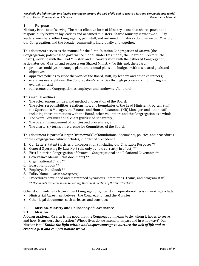# <span id="page-3-0"></span>**1 Purpose**

Ministry is the act of serving. The most effective form of Ministry is one that shares power and responsibility between lay leaders and ordained ministers. Shared Ministry is what we all - lay leaders, members, other Congregants, paid staff, and ordained ministers - do to serve our Mission, our Congregation, and the broader community, individually and together.

This document serves as the manual for the First Unitarian Congregation of Ottawa (the Congregation) policy-based governance model. Under this model, the Board of Directors (the Board), working with the Lead Minister, and in conversation with the gathered Congregation, articulates our Mission and supports our Shared Ministry. To this end, the Board:

- proposes multi-year strategic plans and annual plans and budgets with associated goals and objectives;
- approves policies to guide the work of the Board, staff, lay leaders and other volunteers;
- exercises oversight over the Congregation's activities through processes of monitoring and evaluation; and
- represents the Congregation as employer and landowner/landlord.

This manual outlines:

- The role, responsibilities, and method of operation of the Board;
- The roles, responsibilities, relationships, and boundaries of the Lead Minister, Program Staff, the Operations Manager, the Finance and Human Resources (HR) Manager, and other staff, including their interactions with the Board, other volunteers and the Congregation as a whole;
- The overall organizational chart (published separately);
- The overall management of policies and procedures; and
- The charters / terms of reference for Committees of the Board.

This document is part of a larger "framework" of foundational documents, policies, and procedures for the Congregation, which includes, in order of precedence:

- 1. Our Letters Patent (articles of incorporation), including our Charitable Purposes **\*\***
- 2. General Operating By-Law No.8 (the only by-law currently in effect) **\*\***
- 3. First Unitarian Congregation of Ottawa Congregational and Relational Covenants **\*\***
- 4. Governance Manual (this document) **\*\***
- 5. Organizational Chart \*\*
- 6. Board Handbook **\*\***
- 7. Employee Handbook **\*\***
- 8. Policy Manual *(under development)*
- 9. Procedures developed and maintained by various Committees, Teams, and program staff.

**\*\*** *Documents available in the Governing Documents section of the FirstU website.*

Other documents which can impact Congregations, Board and operational decision making include:

- Ministerial Agreement between the Congregation and the Minister
- Other legal documents, such as leases and contracts

#### <span id="page-3-1"></span>**2 Mission, Ministry and Philosophy of Governance**

#### <span id="page-3-2"></span>**2.1 Mission**

A Congregational Mission is the good that the Congregation means to do, whom it hopes to serve, and how. It answers the question, "Whose lives do we intend to impact and in what way?" Our Mission is to "*Kindle the light within and inspire courage to nurture the web of life and to create a just and compassionate world*."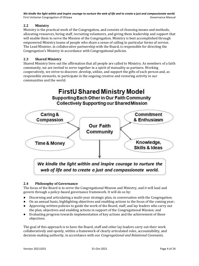# <span id="page-4-0"></span>**2.2 Ministry**

Ministry is the practical work of the Congregation, and consists of choosing means and methods, allocating resources, hiring staff, recruiting volunteers, and giving them leadership and support that will enable them to serve the Mission of the Congregation. Ministry is best accomplished through empowered Ministry teams of people who share a sense of calling to particular forms of service. The Lead Minister, in collaborative partnership with the Board, is responsible for directing the Congregation's Ministry in accordance with Congregational policies.

# <span id="page-4-1"></span>**2.3 Shared Ministry**

Shared Ministry lives out the affirmation that all people are called to Ministry. As members of a faith community, we are invited to serve together in a spirit of mutuality as partners. Working cooperatively, we strive to discover, develop, utilize, and support the gifts of each person and, as responsible stewards, to participate in the ongoing creative and restoring activity in our communities and the world.



# <span id="page-4-2"></span>**2.4 Philosophy of Governance**

The focus of the Board is to serve the Congregational Mission and Ministry, and it will lead and govern through a policy-based governance framework. It will do so by:

- Discerning and articulating a multi-year strategic plan, in conversation with the Congregation;
- On an annual basis, highlighting objectives and enabling actions to the focus of the coming year;
- Approving written policies to guide the work of the Board, staff, and lay leaders who carry out the plan, objectives and enabling actions in support of the Congregational Mission; and
- Evaluating progress towards implementation of key actions and the achievement of these objectives.

The goal of this approach is to have the Board, staff and other lay leaders carry out their work collaboratively and openly, within a framework of clearly articulated roles, accountability, and decision-making authority, in accordance with our *Congregational and Relational Covenants*.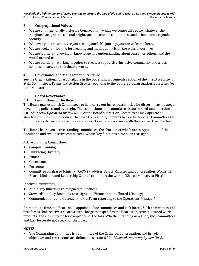# <span id="page-5-0"></span>**3 Congregational Values**

- We are an intentionally inclusive Congregation, which welcomes all people, whatever their religious background, cultural origin, socio-economic condition, sexual orientation, or gender identity.
- Whoever you are, wherever you are on your life's journey, you are welcome here.
- We are seekers looking for meaning and inspiration within the webs of our lives.
- We are learners growing in knowledge and understanding about ourselves, others, and the world around us.
- We are builders working together to create a supportive, inclusive community and a just, compassionate, and sustainable world.

#### <span id="page-5-1"></span>**4 Governance and Management Structure**

See the Organizational Chart available in the Governing Documents section of the FirstU website for Staff, Committees, Teams and Action Groups reporting to the Gathered Congregation, Board and/or Lead Minister.

#### <span id="page-5-2"></span>**5 Board Governance**

#### <span id="page-5-3"></span>**5.1 Committees of the Board**

The Board may establish Committees to help carry out its responsibilities for discernment, strategy, developing policies, and oversight. The establishment of committees is authorized under section 6.01 of *General Operating By-law No. 8*. At the Board's direction, Committees may operate as standing or time-limited bodies. The Board, as a whole, commits to clearly direct all Committees by outlining specific written objectives and restrictions, in accordance with their respective Charters.

The Board has seven active standing committees, the charters of which are in Appendix 1 of this document, and two inactive committees, whose key functions have been reassigned:

Active Standing Committees:

- Campus Planning
- Embracing Diversity
- Finance
- Governance
- Personnel
- Committee on Shared Ministry (CoSM) advises Board, Minister and Congregation. Works with Board, Minister, and Leadership Council to support the work of Shared Ministry at FirstU.

Inactive Committees:

- Audit (key functions re-assigned to Finance)
- Stewardship (key functions re-assigned to Finance and to Shared Ministry)
- Communications and Outreach (now a Team reporting to the Operations Manager)

From time to time, the Board shall appoint ad hoc committees and task forces. Such committees and task forces shall receive a clear written charge that specifies the Board's objectives, desired work products, and a time frame for completion of the task. Whether standing or ad hoc, such committees and task forces do not speak for the Board.

#### **NOTES:**

The Nominating Committee is a committee of the Gathered Congregation, and its role, objectives and restrictions are defined in section 6.02 of *General Operating By-law No. 8*.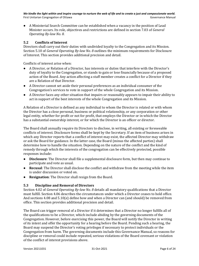● A Ministerial Search Committee can be established when a vacancy in the position of Lead Minister occurs. Its role, objectives and restrictions are defined in section 7.03 of *General Operating By-law No. 8*.

#### <span id="page-6-0"></span>**5.2 Conflicts of Interest**

Directors shall carry out their duties with undivided loyalty to the Congregation and its Mission. Section 5.10 of *General Operating By-law No. 8* outlines the minimum requirements for Disclosure of Interest. This section provides additional precision and detail.

Conflicts of interest arise when:

- A Director, or Relation of a Director, has interests or duties that interfere with the Director's duty of loyalty to the Congregation, or stands to gain or lose financially because of a proposed action of the Board. Any action affecting a staff member creates a conflict for a Director if they are a Relation of that Director.
- A Director cannot set aside their personal preferences as an individual consumer of the Congregation's services to vote in support of the whole Congregation and its Mission.
- A Director faces any other situation that impairs or reasonably appears to impair their ability to act in support of the best interests of the whole Congregation and its Mission.

A Relation of a Director is defined as any individual to whom the Director is related or with whom the Director has a close personal, business or political relationship, or any corporation or other legal entity, whether for profit or not for profit, that employs the Director or in which the Director has a substantial ownership interest, or for which the Director is an officer or director.

The Board shall annually require its Directors to disclose, in writing, all existing or foreseeable conflicts of interest. Disclosure forms shall be kept by the Secretary. If an item of business arises in which any Director reports that a conflict of interest may exist, the affected Director may withdraw or ask the Board for guidance. In the latter case, the Board (minus the affected parties) shall determine how to handle the situation. Depending on the nature of the conflict and the kind of remedy through which the interests of the congregation can be effectively protected, possible responses include:

- **Disclosure**: The Director shall file a supplemental disclosure form, but then may continue to participate and vote as usual.
- **Recusal**: The Director shall disclose the conflict and withdraw from the meeting while the item is under discussion or voted on.
- **Resignation**: The Director shall resign from the Board.

#### <span id="page-6-1"></span>**5.3 Discipline and Removal of Directors**

Section 4.02 of *General Operating By-law No. 8* details all mandatory qualifications that a Director must fulfill. Section 4.06 describes the circumstances under which a Director ceases to hold office. And sections 4.08 and 5.10(e) define how and when a Director can (and should) be removed from office. This section provides additional precision and detail.

The Board can trigger removal of a Director if it determines that a Director no longer fulfills all of the qualifications to be a Director, which include abiding by the governing documents of the Congregation. However, before exercising this power, the Board will notify the Director in writing of its intent and offer the opportunity for a hearing before the Board. Pending such a hearing, the Board may suspend the Director's voting privileges if necessary to protect individuals or the Congregation from harm. The governing documents include this Governance Manual, so reasons for discipline or removal could include repeated, serious violations of the Board covenant or violation of the conflict of interest provisions above.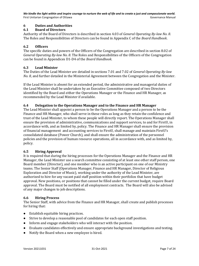# <span id="page-7-0"></span>**6 Duties and Authorities**

#### <span id="page-7-1"></span>**6.1 Board of Directors**

Authority of the Board of Directors is described in section 4.03 of *General Operating By-law No. 8*. The Roles and Responsibilities of Directors can be found in Appendix C of the *Board Handbook*.

## <span id="page-7-2"></span>**6.2 Officers**

The specific duties and powers of the Officers of the Congregation are described in section 8.02 of *General Operating By-law No. 8*. The Roles and Responsibilities of the Officers of the Congregation can be found in Appendices D1-D4 of the *Board Handbook*.

#### **6.3 Lead Minister**

The Duties of the Lead Minister are detailed in sections 7.01 and 7.02 of *General Operating By-law No. 8*, and further detailed in the Ministerial Agreement between the Congregation and the Minister.

If the Lead Minister is absent for an extended period, the administrative and managerial duties of the Lead Minister shall be undertaken by an Executive Committee composed of two Directors identified by the Board and either the Operations Manager or the Finance and HR Manager, as recommended by the Lead Minister if available.

#### <span id="page-7-3"></span>**6.4 Delegation to the Operations Manager and to the Finance and HR Manager**

The Lead Minister shall appoint a person to be the Operations Manager and a person to be the Finance and HR Manager, who shall serve in these roles as long as they retain the confidence and trust of the Lead Minister, to whom these people will directly report. The Operations Manager shall ensure the provision of administrative, communications and support services, to and for FirstU, in accordance with, and as limited by, policy. The Finance and HR Manager shall ensure the provision of financial management and accounting services to FirstU, shall manage and maintain FirstU's consolidated database (Power Church), and shall ensure the administration of the personnel policies and the provision of human resource operations, all in accordance with, and as limited by, policy.

#### <span id="page-7-4"></span>**6.5 Hiring Approval**

It is required that during the hiring processes for the Operations Manager and the Finance and HR Manager, the Lead Minister use a search committee consisting of at least one other staff person, one Board member (Director), and one member who is an active participant on one of our Ministry teams. The Senior Staff (Operations Manager, Finance and HR Manager, Director of Religious Exploration and Director of Music), working under the authority of the Lead Minister, are authorized to hire for any vacant paid staff position within their portfolios that have budget approval. New positions, or positions that cannot be filled under the current budget, require Board approval. The Board must be notified of all employment contracts. The Board will also be advised of any major changes to job descriptions.

#### <span id="page-7-5"></span>**6.6 Hiring Process**

The Senior Staff, with advice from the Finance and HR Manager, shall create and publish processes for hiring that:

- Establish equitable hiring practices.
- Strive to develop a reasonable pool of candidates for each open staff position.
- Inform and engage stakeholders who will interact with the position.
- Evaluate candidates effectively and ensure appropriate background investigations and testing.
- Notify the Board when a new employee is hired.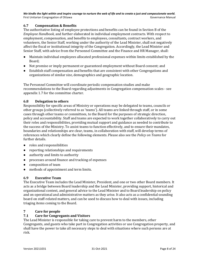# <span id="page-8-0"></span>**6.7 Compensation & Benefits**

The authoritative listing of employee protections and benefits can be found in Section B of the *Employee Handbook*, and further elaborated in individual employment contracts. With respect to employment, compensation, and benefits to employees, consultants, contract workers, and volunteers, the Senior Staff, working under the authority of the Lead Minister, shall not negatively affect the fiscal or institutional integrity of the Congregation. Accordingly, the Lead Minister and Senior Staff, with advice from the Personnel Committee and the Finance and HR Manager, shall:

- Maintain individual employees allocated professional expenses within limits established by the Board;
- Not promise or imply permanent or guaranteed employment without Board consent; and
- Establish staff compensation and benefits that are consistent with other Congregations and organizations of similar size, demographics and geographic location.

The Personnel Committee will coordinate periodic compensation studies and make recommendations to the Board regarding adjustments in Congregation compensation scales - see appendix 1.7 for the committee charter.

# <span id="page-8-1"></span>**6.8 Delegation to others**

Responsibility for specific areas of Ministry or operations may be delegated to teams, councils or other groups (collectively referred to as 'teams'). All teams are linked through staff, or in some cases through other teams or committees, to the Board for the purposes of strategic direction, policy and accountability. Staff and teams are expected to work together collaboratively to carry out their roles and responsibilities, providing mutual support and guidance as needed to contribute to the success of the Ministry. To assist teams to function effectively, and to ensure their mandates, boundaries and relationships are clear, teams, in collaboration with staff, will develop terms of references which clearly define the following elements. Please also see the *Policy on Teams* for further details.

- roles and responsibilities
- reporting relationships and requirements
- authority and limits to authority
- processes around finance and tracking of expenses
- composition of team
- methods of appointment and term limits.

#### <span id="page-8-2"></span>**6.9 Executive Team**

The Executive Team includes the Lead Minister, President, and one or two other Board members. It acts as a bridge between Board leadership and the Lead Minister, providing support, historical and organizational context, and general advice to the Lead Minister and to Board leadership on policy and on operational and administrative matters as they arise. It also acts as a confidential sounding board on staff-related matters, and can be used to discuss how to deal with issues, including triaging items coming to the Board.

# <span id="page-8-3"></span>**7 Care for people**

# <span id="page-8-4"></span>**7.1 Care for Congregants and Visitors**

The Lead Minister is responsible for taking care to prevent harm to the members, other Congregants, and guests who take part in Congregation activities or use Congregation property, and shall have the power to take all necessary steps to deal with situations where such persons are at risk.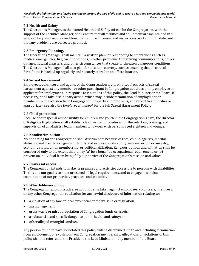# <span id="page-9-0"></span>**7.2 Health and Safety**

The Operations Manager, as the named Health and Safety officer for the Congregation, with the support of the Facilities Manager, shall ensure that all facilities and equipment are maintained in a safe, sanitary, and secure condition, that required licenses and inspections are kept up to date, and that any problems are corrected promptly.

## <span id="page-9-1"></span>**7.3 Emergency Planning.**

The Operations Manager shall maintain a written plan for responding to emergencies such as medical emergencies, fire, toxic conditions, weather problems, threatening communications, power outages, natural disasters, and other circumstances that create or threaten dangerous conditions. The Operations Manager shall also plan for disaster recovery, such as ensuring that all critical FirstU data is backed up regularly and securely stored in an offsite location.

#### <span id="page-9-2"></span>**7.4 Sexual harassment**

Employees, volunteers, and agents of the Congregation are prohibited from acts of sexual harassment against any member or other participant in Congregation activities or any employee or applicant for employment. In response to violations of this policy, the Lead Minister or the Board, if necessary, shall take disciplinary action, which may include termination of employment or membership or exclusion from Congregation property and programs, and report to authorities as appropriate - see also the *Employee Handbook* for the full Sexual Harassment Policy.

#### <span id="page-9-3"></span>**7.5 Child protection**

Because of our special responsibility for children and youth in the Congregation's care, the Director of Religious Exploration shall establish clear, written procedures for the selection, training, and supervision of all Ministry team members who work with persons aged eighteen and younger.

#### <span id="page-9-4"></span>**7.6 Nondiscrimination**

No one acting for the Congregation shall discriminate because of race, colour, age, sex, marital status, sexual orientation, gender identity and expression, disability, national origin or ancestry, economic status, union membership, or political affiliation. Religious opinion and affiliation shall be considered only to the extent that it may (a) be a bona fide occupational requirement, or (b) prevent an individual from being fully supportive of the Congregation's mission and values.

#### <span id="page-9-5"></span>**7.7 Universal access**

The Congregation intends to make its premises and activities accessible to persons with disabilities. To this end our goal is to meet or exceed all legal requirements, and to engage in continual examination of our properties, practices, and attitudes.

#### <span id="page-9-6"></span>**7.8 Whistleblower policy**

The Congregation prohibits adverse actions being taken against employees, volunteers, members, or any other Congregant in retaliation for any lawful disclosure of information relating to:

- a violation of any law or local, provincial or federal rule or regulation,
- mismanagement,
- gross waste or misappropriation of Congregation funds or assets,
- a substantial and specific danger to public health and safety; or
- other alleged wrongful conduct.

Any person found to have so violated this policy will be disciplined, up to and including termination from employment or expulsion from Congregation membership. Allegations of violations of this policy shall be referred to the President, the Lead Minister, or any member of the Board.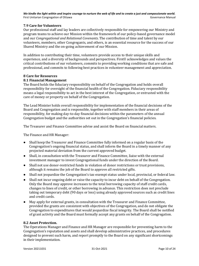# <span id="page-10-0"></span>**7.9 Care for Volunteers**

Our professional staff and lay leaders are collectively responsible for empowering our Ministry and program teams to achieve our Mission within the framework of our policy-based governance model and our *Congregational and Relational Covenants*. The contribution of time and talent by our volunteers, members, other Congregants, and others, is an essential resource for the success of our Shared Ministry and the on-going achievement of our Mission.

In addition to contributing their time, volunteers provide access to their unique skills and experience, and a diversity of backgrounds and perspectives. FirstU acknowledges and values the critical contributions of our volunteers, commits to providing working conditions that are safe and professional, and commits to following best practices in volunteer management and appreciation.

#### <span id="page-10-1"></span>**8 Care for Resources**

#### <span id="page-10-2"></span>**8.1 Financial Management**

The Board holds the fiduciary responsibility on behalf of the Congregation and holds overall responsibility for oversight of the financial health of the Congregation. Fiduciary responsibility means a legal responsibility to act in the best interest of the Congregation, or entrusted with the care of money or property on behalf of the Congregation.

The Lead Minister holds overall responsibility for implementation of the financial decisions of the Board and Congregation and is responsible, together with staff members in their areas of responsibility, for making day-to-day financial decisions within the parameters of the annual Congregation budget and the authorities set out in the Congregation's financial policies.

The Treasurer and Finance Committee advise and assist the Board on financial matters.

The Finance and HR Manager:

- Shall keep the Treasurer and Finance Committee fully informed on a regular basis of the Congregation's ongoing financial status, and shall inform the Board in a timely manner of any projected material deviation from the current approved budget.
- Shall, in consultation with the Treasurer and Finance Committee, liaise with the external investment manager to invest Congregational funds under the direction of the Board.
- Shall not use donor-restricted funds in violation of donor restrictions or trust provisions, although it remains the job of the Board to approve all restricted gifts.
- Shall not jeopardize the Congregation's tax-exempt status under local, provincial, or federal law.
- Shall not incur ongoing debt or raise the capacity to incur debt on behalf of the Congregation. Only the Board may approve increases to the total borrowing capacity of staff credit cards, changes to lines of credit, or other borrowing in advance. This restriction does not preclude taking out temporary debt (90 days or less) using already approved sources such as credit lines and credit cards.
- May apply for external grants, in consultation with the Treasurer and Finance Committee, provided the grants are consistent with objectives of the Congregation, and do not obligate the Congregation to expenditures that would jeopardize fiscal integrity. The Board shall be notified of grant activity and the Board must formally accept any grants on behalf of the Congregation.

#### <span id="page-10-3"></span>**8.2 Asset Protection.**

The Operations Manager and Finance and HR Manager are responsible for preventing harm to the Congregation's reputation and assets and shall develop administrative practices, and procedures designed to prevent such harm, and report promptly to the Board on any significant shortcomings in their implementation.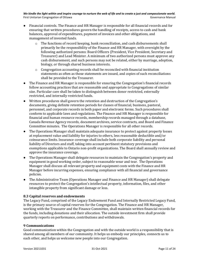- Financial controls. The Finance and HR Manager is responsible for all financial records and for ensuring that written procedures govern the handling of receipts, access to cash and bank balances, approval of expenditures, payment of invoices and other obligations, and management of invested funds.
	- $\circ$  The functions of record keeping, bank reconciliation, and cash disbursements shall primarily be the responsibility of the Finance and HR Manager, with oversight by the following authorized persons: Board Officers (President, Vice President, Secretary and Treasurer) and Lead Minister. A minimum of two authorized persons must approve any cash disbursement, and such persons may not be related, either by marriage, adoption, biology, or through shared business interests.
	- $\circ$  Congregation accounting records shall be reconciled with financial institution statements as often as those statements are issued, and copies of such reconciliations shall be provided to the Treasurer.
- The Finance and HR Manager is responsible for ensuring the Congregation's financial records follow accounting practices that are reasonable and appropriate to Congregations of similar size. Particular care shall be taken to distinguish between donor restricted, externally restricted, and internally restricted funds.
- Written procedures shall govern the retention and destruction of the Congregation's documents, giving definite retention periods for classes of financial, business, pastoral, personnel, and corporate records in both paper and electronic forms. Such procedures shall conform to applicable laws and regulations. The Finance and HR Manager is responsible for financial and human resource records, membership records managed through a database, Canada Revenue Agency records, document archives, service contracts, and Board and Finance Committee minutes. The Operations Manager is responsible for all other records.
- The Operations Manager shall maintain adequate insurance to protect against property losses at replacement value and liability for injuries to others, less reasonable deductible and/or coinsurance limits. Insurance coverage shall include both corporate liability and personal liability of Directors and staff, taking into account pertinent statutory provisions and exemptions applicable to Ontario non-profit organizations. The Board shall annually review and approve the insurance coverage.
- The Operations Manager shall delegate resources to maintain the Congregation's property and equipment in good working order, subject to reasonable wear and tear. The Operations Manager shall discuss all relevant property and equipment costs with the Finance and HR Manager before incurring expenses, ensuring compliance with all financial and governance policies.
- The Administrative Team (Operations Manager and Finance and HR Manager) shall delegate resources to protect the Congregation's intellectual property, information, files, and other intangible property from significant damage or loss.

#### **8.3 Capital reserves and endowments**

The Legacy Fund, comprised of the Legacy Endowment Fund and Internally Restricted Legacy Fund, is the primary source of capital reserves for the Congregation. The Finance and HR Manager, working with the Treasurer and the Finance Committee, shall maintain written financial records for the funds, including donations and their allocation. The outside investment firm shall provide quarterly reports on performance, contributions and withdrawals.

#### <span id="page-11-0"></span>**9 Communications**

Good communication within the Congregation and with the outside world is a responsibility that is shared among all members of our community. It helps us embody our principles, connects us to each other, and helps us welcome new people into our Congregation.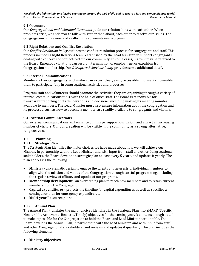# <span id="page-12-0"></span>**9.1 Covenant**

Our *Congregational and Relational Covenants* guide our relationships with each other. When problems arise, we endeavor to talk with, rather than about, each other to resolve our issues. The Congregation will review and reaffirm the covenants every 5 years.

# <span id="page-12-1"></span>**9.2 Right Relations and Conflict Resolution**

Our *Conflict Resolution Policy* outlines the conflict resolution process for congregants and staff. This process includes a Right Relations team, established by the Lead Minister, to support congregants dealing with concerns or conflicts within our community. In some cases, matters may be referred to the Board. Egregious violations can result in termination of employment or expulsion from Congregation membership. Our *Disruptive Behaviour Policy* provides some additional detail.

#### <span id="page-12-2"></span>**9.3 Internal Communications**

Members, other Congregants, and visitors can expect clear, easily accessible information to enable them to participate fully in congregational activities and processes.

Program staff and volunteers should promote the activities they are organizing through a variety of internal communications tools, with the help of office staff. The Board is responsible for transparent reporting on its deliberations and decisions, including making its meeting minutes available to members. The Lead Minister must also ensure information about the congregation and its processes, such as how to become a member, are readily available to congregants and visitors.

# <span id="page-12-3"></span>**9.4 External Communications**

Our external communications will enhance our image, support our vision, and attract an increasing number of visitors. Our Congregation will be visible in the community as a strong, alternative, religious voice.

# <span id="page-12-4"></span>**10 Planning**

#### <span id="page-12-5"></span>**10.1 Strategic Plan**

The Strategic Plan identifies the major choices we have made about how we will achieve our Mission. In partnership with the Lead Minister and with input from staff and other Congregational stakeholders, the Board develops a strategic plan at least every 5 years, and updates it yearly. The plan addresses the following:

- **Ministry** a systematic design to engage the talents and interests of individual members to align with the mission and values of the Congregation through careful programming, including the regular review of efficacy and uptake of our programs.
- **Membership development** an overarching plan to reach new members and to retain current membership in the Congregation.
- **Capital expenditures**  projects the timeline for capital expenditures as well as specifies a contingency plan for emergency expenditures.
- **Multi-year Resource plans**

#### <span id="page-12-6"></span>**10.2 Annual Plan**

The Annual Plan translates the major choices identified in the Strategic Plan into SMART (Specific, Measurable, Achievable, Realistic, Timely) objectives for the coming year. It contains enough detail to make it possible for the Congregation to hold the Board and Lead Minister accountable. The Board develops the Annual Plan, in partnership with the Lead Minister, and with input from staff and other Congregational stakeholders, and reviews and updates it quarterly. The plan includes the following elements:

#### ● **Ministry objectives**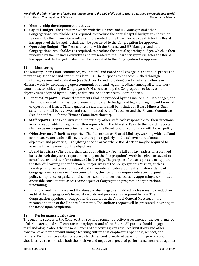# ● **Membership development objectives**

- **Capital Budget**  the Treasurer works with the Finance and HR Manager, and other Congregational stakeholders as required, to produce the annual capital budget, which is then reviewed by the Finance Committee and presented to the Board for approval. After the Board has approved the budget, it shall then be presented to the Congregation for approval.
- **Operating Budget** The Treasurer works with the Finance and HR Manager, and other Congregational stakeholders as required, to produce the annual operating budget, which is then reviewed by the Finance Committee and presented to the Board for approval. After the Board has approved the budget, it shall then be presented to the Congregation for approval.

#### <span id="page-13-0"></span>**11 Monitoring**

The Ministry Team (staff, committees, volunteers) and Board shall engage in a continual process of monitoring, feedback and continuous learning. The purposes to be accomplished through monitoring, review and evaluation (see Sections 12 and 13 below) are to foster excellence in Ministry work by encouraging open communication and regular feedback among all whose work contributes to achieving the Congregation's Mission, to help the Congregation to focus on its objectives as adopted by the Board, and to ensure adherence to Board policies.

- **Financial reports** Financial statements shall be provided by the Finance and HR Manager, and shall show overall financial performance compared to budget and highlight significant financial or operational issues. Timely quarterly statements shall be included in Board Minutes. Such statements shall be reviewed and recommended by the Treasurer and the Finance Committee (see Appendix 1.6 for the Finance Committee charter).
- **Staff reports** The Lead Minister supported by other staff, each responsible for their functional area, is responsible for regular written reports from the Ministry Team to the Board. Reports shall focus on progress on priorities, as set by the Board, and on compliance with Board policy.
- **Objectives and Priorities reports** The Committee on Shared Ministry, working with staff and committee/team leads, will review and report regularly on the achievement of annual objectives and priorities, highlighting specific areas where Board action may be required to assist with achievement of the objectives.
- **Board inquiries** The Board shall call upon Ministry Team staff and lay leaders on a planned basis through the year to report more fully on the Congregation's work in a given area, and to contribute expertise, information, and leadership. The purpose of these reports is to support the Board's learning and reflection on major areas of the Congregation's Mission, such as worship, religious education, social justice, membership development, and stewardship of Congregational resources. From time to time, the Board may inquire into specific questions of policy compliance, organizational concerns, or other serious issues by appointing a committee or outside consultant to assess some aspect of Congregation program or organizational functioning.
- **Financial audit** Finance and HR Manager shall engage a qualified professional to conduct an audit of the Congregation's financial records and processes as required by law. The Congregation appoints or reappoints the auditor at the Annual General Meeting, on the recommendation of the Finance Committee. The auditor's report will be presented in writing to the Board upon completion.

#### <span id="page-13-1"></span>**12 Performance Evaluation**

The ongoing success of the Congregation requires regular objective assessment of the performance of all Ministers, paid staff, contracted employees, and of the Board. All parties should engage in regular dialogue about the reasonableness of objectives given resource limitations and other constraints as part of maintaining a learning culture that emphasizes openness, respect, and fairness. Performance evaluations are a structured and formalized aspect of this practice and should strive to emphasize both the positive and negative aspects of performance measured against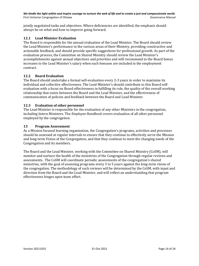jointly negotiated tasks and objectives. Where deficiencies are identified, the emphasis should always be on what and how to improve going forward.

## <span id="page-14-0"></span>**12.1 Lead Minister Evaluation**

The Board is responsible for the annual evaluation of the Lead Minister. The Board should review the Lead Minister's performance in the various areas of their Ministry, providing constructive and actionable feedback, and should provide specific suggestions for professional growth. As part of the evaluation process, the Committee on Shared Ministry should review the Lead Minister's accomplishments against annual objectives and priorities and will recommend to the Board bonus increases to the Lead Minister's salary when such bonuses are included in the employment contract.

#### **12.2 Board Evaluation**

The Board should undertake a formal self-evaluation every 2-3 years in order to maximize its individual and collective effectiveness. The Lead Minister's should contribute to this Board selfevaluation with a focus on Board effectiveness in fulfilling its role, the quality of the overall working relationship that exists between the Board and the Lead Minister, and the effectiveness of communication of policies and feedback between the Board and Lead Minister.

# <span id="page-14-1"></span>**12.3 Evaluation of other personnel**

The Lead Minister is responsible for the evaluation of any other Ministers in the congregation, including Intern Ministers. The *Employee Handbook* covers evaluation of all other personnel employed by the congregation.

# <span id="page-14-2"></span>**13 Program Assessment**

As a Mission focused learning organization, the Congregation's programs, activities and processes should be assessed at regular intervals to ensure that they continue to effectively serve the Mission and long-term Vision of the Congregation, and that they continue to meet the changing needs of the Congregation and its members.

The Board and the Lead Minister, working with the Committee on Shared Ministry (CoSM), will monitor and nurture the health of the ministries of the Congregation through regular reviews and assessments. The CoSM will coordinate periodic assessments of the congregation's shared ministries, with the goal of assessing programs every 3 to 5 years against the long-term vision of the congregation. The methodology of such reviews will be determined by the CoSM, with input and direction from the Board and the Lead Minister, and will reflect an understanding that program effectiveness hinges upon team effort.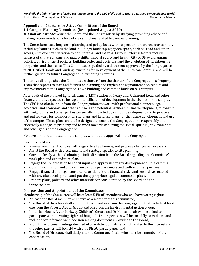# <span id="page-15-0"></span>**Appendix 1 – Charters for Active Committees of the Board**

<span id="page-15-1"></span>**1.1 Campus Planning Committee (last updated August 2020)**

**Mission or Purpose:** Assist the Board and the Congregation by studying, providing advice and making recommendations for policies and plans related to campus planning.

The Committee has a long-term planning and policy focus with respect to how we use our campus, including features such as the land, buildings, landscaping, green space, parking, road and other access, with due consideration to both internal and external factors. External factors include impacts of climate change and macro shifts in social equity and health, City of Ottawa planning policies, environmental policies, building codes and decisions, and the evolution of neighbouring properties and their uses. This Committee is guided by a document approved by the Congregation in 2018 titled "Goals and Guiding Principles for Development of the Unitarian Campus" and will be further guided by future Congregational visioning exercises.

The above distinguishes the Committee's charter from the charter of the Congregation's Property Team that reports to staff and focuses on planning and implementing maintenance, repairs and improvements to the Congregation's own building and common lands on our campus.

As a result of the planned light rail transit (LRT) station at Cleary and Richmond Road and other factors, there is expected to be rapid intensification of development in the vicinity of the campus. The CPC is to obtain input from the Congregation, to work with professional planners, legal, ecological and economic and other advisors and potential partners in land development, to consult with neighbours and other parties potentially impacted by campus development and to prepare and put forward for consideration site plans and land use plans for the future development and use of the campus. Those plans should be designed to enable the Congregation to responsibly and effectively manage its property and to work towards achieving the social, spiritual, environmental and other goals of the Congregation.

No development can occur on the campus without the approval of the Congregation.

#### **Responsibilities:**

- Review new FirstU policies with regard to site planning and propose changes as necessary.
- Assist the Board with discernment and strategy specific to site planning
- Consult closely with and obtain periodic direction from the Board regarding the Committee's work plan and expenditure plan.
- Engage the Congregation to solicit input and approvals for any development on the campus
- Obtain information and advice from various professionals and well-informed persons.
- Engage financial and legal consultants to identify the financial risks and rewards associated with any site development and put the appropriate legal documents in place.
- Prepare plans, policies and other materials for consideration by the Board and the Congregation.

#### **Composition and Appointment of the Committee:**

Membership of the Committee will be at least 5 FirstU members who will have voting rights:

- At least one Board member will serve as a member of this committee;
- The Board of Directors shall appoint other members from the congregation that include at least one from the Poverty Action Group and one from the Environmental Action Group;
- Unitarian House, River Parkway Children's Centre and Or Haneshamah will be asked to participate with no voting rights, although their perspectives will be carefully considered and included for information in decision making documents provided to the Board;
- From time-to-time meetings deemed of a confidential nature or not related to the interests of the other parties will be held with only FirstU participants; and
- The Board of Directors shall designate the Committee Chair, who must be a member of the congregation.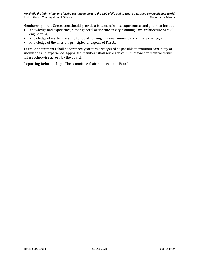Membership in the Committee should provide a balance of skills, experiences, and gifts that include:

- Knowledge and experience, either general or specific, in city planning, law, architecture or civil engineering;
- Knowledge of matters relating to social housing, the environment and climate change; and
- Knowledge of the mission, principles, and goals of FirstU.

**Term:** Appointments shall be for three-year terms staggered as possible to maintain continuity of knowledge and experience. Appointed members shall serve a maximum of two consecutive terms unless otherwise agreed by the Board.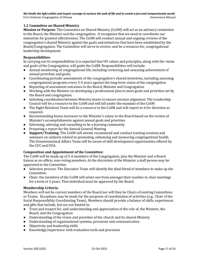# <span id="page-17-0"></span>**1.2 Committee on Shared Ministry**

**Mission or Purpose**: The Committee on Shared Ministry (CoSM) will act as an advisory committee to the Board, the Minister and the congregation. It recognizes that we need to coordinate our ministries for greatest effectiveness. The CoSM will conduct annual and ongoing reviews of the congregation's shared Ministry against the goals and initiatives that have been established by the Board/Congregation. The Committee will serve to review, and be a resource for, congregational leadership development.

#### **Responsibilities**:

In carrying out its responsibilities it is expected that UU values and principles, along with the vision and goals of the Congregation, will guide the CoSM. Responsibilities will include:

- Annual monitoring of congregational life, including reviewing and assessing achievement of annual priorities and goals;
- Coordinating periodic assessments of the congregation's shared ministries, including assessing congregational programs every 3-5 years against the long-term vision of the congregation
- Reporting of assessment outcomes to the Board, Minister and Congregation
- Working with the Minister on developing a professional plan to meet goals and priorities set by the Board and congregation.
- Initiating coordination between Ministry teams to ensure mission alignment. The Leadership Council will be a resource to the CoSM and will fall under the mandate of the CoSM
- The Right Relations Team will be a resource to the CoSM and will report to it for direction as required.
- Recommending bonus increases to the Minister's salary to the Board based on the review of Minister's accomplishments against annual goals and priorities
- Informing, advising and consulting to be a learning community
- Preparing a report for the Annual General Meeting
- **Support/Training**: The CoSM will attend, recommend and conduct training sessions and seminars on subjects related to promoting, enhancing and measuring congregational health. The Denominational Affairs Team will be aware of skill development opportunities offered by the CUC and UUA.

#### **Composition and Appointment of the Committee**:

The CoSM will be made up of 5-6 members of the Congregation, plus the Minister and a Board liaison as ex-officio, non-voting members. At the discretion of the Minister a staff person may be appointed to the Committee.

- Selection process: The Executive Team will identify the ideal blend of members to make up the Committee.
- Chair: the members of the CoSM will select one from amongst their number to chair meetings for a term of 2 years. That individual must be approved by the Board.

#### **Membership Criteria**:

Members will not be current members of the Board nor will they be Chairs of existing Committees or Teams. Exceptions may be made for the purposes of coordination of activities (e.g. Chair of the Social Responsibility Coordinating Team). Members should provide a balance of skills, experiences and gifts that include, but are not limited to:

- Trust and respect for, and understanding and appreciation of the role of, the Minister, the Board, and the Congregation
- Understanding of the vision and priorities of the church and its shared Ministry
- Understanding of organizational systems, processes and communication
- Objectivity and leadership skills
- Knowledge/experience with evaluation tools and processes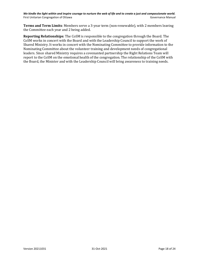**Terms and Term Limits**: Members serve a 3-year term (non-renewable), with 2 members leaving the Committee each year and 2 being added.

**Reporting Relationships**: The CoSM is responsible to the congregation through the Board. The CoSM works in concert with the Board and with the Leadership Council to support the work of Shared Ministry. It works in concert with the Nominating Committee to provide information to the Nominating Committee about the volunteer training and development needs of congregational leaders. Since shared Ministry requires a covenanted partnership the Right Relations Team will report to the CoSM on the emotional health of the congregation. The relationship of the CoSM with the Board, the Minister and with the Leadership Council will bring awareness to training needs.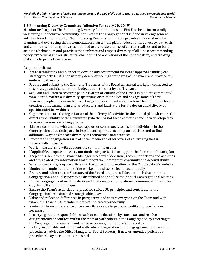# <span id="page-19-0"></span>**1.3 Embracing Diversity Committee (effective February 20, 2019)**

**Mission or Purpose:** The Embracing Diversity Committee assists FirstU to be an intentionally welcoming and inclusive community, both within the Congregation itself and in its engagement with the broader community. The Embracing Diversity Committee provides this assistance by: planning and overseeing the implementation of an annual plan of educational, advocacy, outreach, and community-building activities intended to create awareness of current realities and to build attitudes, behaviours and practices that embrace and respect diversity of all kinds; recommending policy, procedural and/or structural changes in the operations of the Congregation; and creating platforms to promote inclusion.

#### **Responsibilities:**

- Act as a think tank and planner to develop and recommend for Board approval a multi-year strategy to help First U consistently demonstrate high standards of behaviour and practice for embracing diversity
- Prepare and submit to the Chair and Treasurer of the Board an annual workplan connected to this strategy and also an annual budget at the time set by the Treasurer
- Seek out and listen to resource people (within or outside of the First U immediate community) who identify within our diversity spectrums or as their allies and engage some of these resource people in focus and/or working groups as consultants to advise the Committee for the creation of the annual plan and as educators and facilitators for the design and delivery of specific activities within it
- Organize or ensure the organization of the delivery of activities in the annual plan which are the direct responsibility of the Committee (whether or not these activities have been developed by resource persons / working groups)
- Liaise / collaborate with and encourage other committees, teams and individuals in the Congregation to do their parts in implementing annual action plan activities and to find additional ways to embrace diversity in their actions and practices
- Promote the congregation's use of social media and other forms of advertising that is intentionally inclusive
- Work in partnership with appropriate community groups
- If applicable, propose and carry out fundraising activities to support the Committee's workplan
- Keep and submit to the Finance Manager a record of decisions, recommendations and activities and any related key information that support the Committee's continuity and accountability
- When appropriate, prepare articles for the Spire or information for the Congregation's website
- Monitor the implementation of the workplan, and assess its impact annually
- Prepare and submit to the Secretary of the Board a report in February for inclusion in the Congregation's annual report to be distributed at or before the Annual Congregational Meeting
- Inform congregants of meeting dates and locations in congregational communication vehicles, e.g., the EUU and Communiqué.
- Ensure the Team's activities and practices reflect UU principles and contribute to the Congregation's mission and strategic objectives
- Value and reflect on differences in perspective and ensure everyone on the Team and with whom the Team or its members interact is treated respectfully
- Review its terms of reference once every three years to propose modifications whenever necessary
- In carrying out its responsibilities, seek to make decisions by consensus and resolve disagreements or conflicts within the team or with others in the Congregation by referring to the Congregation's covenant and, when necessary, the right relations policy
- Be fair, responsible and compliant with relevant legislation and Congregational policies and procedures; advise the Office Manager or Board Secretary if new or amended policies or procedures may be required or desired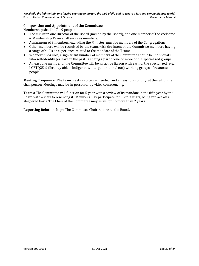#### **Composition and Appointment of the Committee**

Membership shall be 7 – 9 people:

- The Minister, one Director of the Board (named by the Board), and one member of the Welcome & Membership Team shall serve as members;
- A minimum of 3 members, excluding the Minister, must be members of the Congregation;
- Other members will be recruited by the team, with the intent of the Committee members having a range of skills or experience related to the mandate of the Team;
- Whenever possible, a significant number of members of the Committee should be individuals who self-identify (or have in the past) as being a part of one or more of the specialized groups;
- At least one member of the Committee will be an active liaison with each of the specialized (e.g., LGBTQ2S, differently abled, Indigenous, intergenerational etc.) working groups of resource people.

**Meeting Frequency:** The team meets as often as needed, and at least bi-monthly, at the call of the chairperson. Meetings may be in-person or by video conferencing.

**Terms:** The Committee will function for 5 year with a review of its mandate in the fifth year by the Board with a view to renewing it. Members may participate for up to 3 years, being replace on a staggered basis. The Chair of the Committee may serve for no more than 2 years.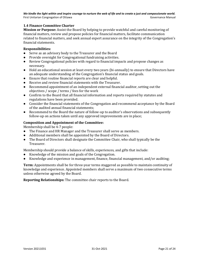# <span id="page-21-0"></span>**1.4 Finance Committee Charter**

**Mission or Purpose:** Assist the Board by helping to provide watchful and careful monitoring of financial matters, review and propose policies for financial matters, facilitate communication related to financial matters, and seek annual expert assurance on the integrity of the Congregation's financial statements.

#### **Responsibilities:**

- Serve as an advisory body to the Treasurer and the Board
- Provide oversight for Congregational fundraising activities.
- Review Congregational policies with regard to financial impacts and propose changes as necessary.
- Hold an educational session at least every two years (bi-annually) to ensure that Directors have an adequate understanding of the Congregation's financial status and goals.
- Ensure that routine financial reports are clear and helpful.
- Receive and review financial statements with the Treasurer.
- Recommend appointment of an independent external financial auditor, setting out the objectives / scope / terms / fees for the work
- Confirm to the Board that all financial information and reports required by statutes and regulations have been provided.
- Consider the financial statements of the Congregation and recommend acceptance by the Board of the audited annual financial statements;
- Recommend to the Board the nature of follow-up to auditor's observations and subsequently follow-up on actions taken until any approved improvements are in place;

#### **Composition and Appointment of the Committee:**

Membership shall be 4-7 people:

- The Finance and HR Manager and the Treasurer shall serve as members.
- Additional members shall be appointed by the Board of Directors.
- The Board of Directors shall designate the Committee Chair, who shall typically be the Treasurer.

Membership should provide a balance of skills, experiences, and gifts that include:

- Knowledge of the mission and goals of the Congregation.
- Knowledge and experience in management, finance, financial management, and/or auditing;

**Term:** Appointments shall be for three-year terms staggered as possible to maintain continuity of knowledge and experience. Appointed members shall serve a maximum of two consecutive terms unless otherwise agreed by the Board.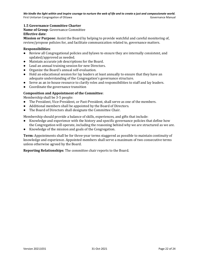# <span id="page-22-0"></span>**1.5 Governance Committee Charter**

**Name of Group**: Governance Committee **Effective date**:

**Mission or Purpose**: Assist the Board by helping to provide watchful and careful monitoring of, review/propose policies for, and facilitate communication related to, governance matters.

#### **Responsibilities**:

- Review all Congregational policies and bylaws to ensure they are internally consistent, and updated/approved as needed.
- Maintain accurate job descriptions for the Board.
- Lead an annual training session for new Directors.
- Organize the Board's annual self-evaluation.
- Hold an educational session for lay leaders at least annually to ensure that they have an adequate understanding of the Congregation's governance structure.
- Serve as an in-house resource to clarify roles and responsibilities to staff and lay leaders.
- Coordinate the governance transition

#### **Composition and Appointment of the Committee**:

Membership shall be 3-5 people:

- The President, Vice-President, or Past-President, shall serve as one of the members.
- Additional members shall be appointed by the Board of Directors.
- The Board of Directors shall designate the Committee Chair.

Membership should provide a balance of skills, experiences, and gifts that include:

- Knowledge and experience with the history and specific governance policies that define how the Congregation will operate, including the reasoning behind why we are structured as we are.
- Knowledge of the mission and goals of the Congregation.

**Term:** Appointments shall be for three-year terms staggered as possible to maintain continuity of knowledge and experience. Appointed members shall serve a maximum of two consecutive terms unless otherwise agreed by the Board.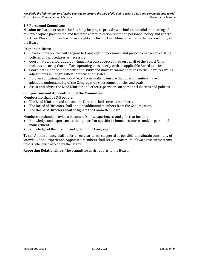# **1.6 Personnel Committee**

**Mission or Purpose:** Assist the Board by helping to provide watchful and careful monitoring of, review/propose policies for, and facilitate communication related to personnel policy and general practices. This committee has no oversight role for the Lead Minister – that is the responsibility of the Board.

#### **Responsibilities:**

- Develop new policies with regard to Congregation personnel and propose changes to existing policies and procedures as necessary.
- Coordinate a periodic audit of Human Resources procedures on behalf of the Board. This includes ensuring that staff are operating consistently with all applicable Board policies.
- Coordinate a periodic compensation study and make recommendations to the Board regarding adjustments in Congregation compensation scales.
- Hold an educational session at least bi-annually to ensure that board members have an adequate understanding of the Congregation's personnel policies and goals.
- Assist and advise the Lead Minister and other supervisors on personnel matters and policies.

# **Composition and Appointment of the Committee:**

Membership shall be 3-5 people:

- The Lead Minister, and at least one Director shall serve as members.
- The Board of Directors shall appoint additional members from the Congregation.
- The Board of Directors shall designate the Committee Chair.

Membership should provide a balance of skills, experiences, and gifts that include:

- Knowledge and experience, either general or specific, in human resources and/or personnel management.
- Knowledge of the mission and goals of the Congregation.

**Term:** Appointments shall be for three-year terms staggered as possible to maintain continuity of knowledge and experience. Appointed members shall serve a maximum of two consecutive terms unless otherwise agreed by the Board.